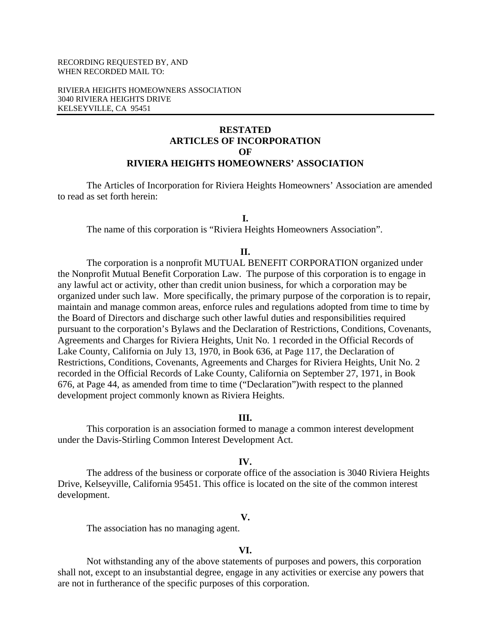### RECORDING REQUESTED BY, AND WHEN RECORDED MAIL TO:

RIVIERA HEIGHTS HOMEOWNERS ASSOCIATION 3040 RIVIERA HEIGHTS DRIVE KELSEYVILLE, CA 95451

# **RESTATED ARTICLES OF INCORPORATION OF RIVIERA HEIGHTS HOMEOWNERS' ASSOCIATION**

The Articles of Incorporation for Riviera Heights Homeowners' Association are amended to read as set forth herein:

## **I.**

The name of this corporation is "Riviera Heights Homeowners Association".

#### **II.**

 The corporation is a nonprofit MUTUAL BENEFIT CORPORATION organized under the Nonprofit Mutual Benefit Corporation Law. The purpose of this corporation is to engage in any lawful act or activity, other than credit union business, for which a corporation may be organized under such law. More specifically, the primary purpose of the corporation is to repair, maintain and manage common areas, enforce rules and regulations adopted from time to time by the Board of Directors and discharge such other lawful duties and responsibilities required pursuant to the corporation's Bylaws and the Declaration of Restrictions, Conditions, Covenants, Agreements and Charges for Riviera Heights, Unit No. 1 recorded in the Official Records of Lake County, California on July 13, 1970, in Book 636, at Page 117, the Declaration of Restrictions, Conditions, Covenants, Agreements and Charges for Riviera Heights, Unit No. 2 recorded in the Official Records of Lake County, California on September 27, 1971, in Book 676, at Page 44, as amended from time to time ("Declaration")with respect to the planned development project commonly known as Riviera Heights.

#### **III.**

 This corporation is an association formed to manage a common interest development under the Davis-Stirling Common Interest Development Act.

#### **IV.**

 The address of the business or corporate office of the association is 3040 Riviera Heights Drive, Kelseyville, California 95451. This office is located on the site of the common interest development.

### **V.**

The association has no managing agent.

### **VI.**

 Not withstanding any of the above statements of purposes and powers, this corporation shall not, except to an insubstantial degree, engage in any activities or exercise any powers that are not in furtherance of the specific purposes of this corporation.